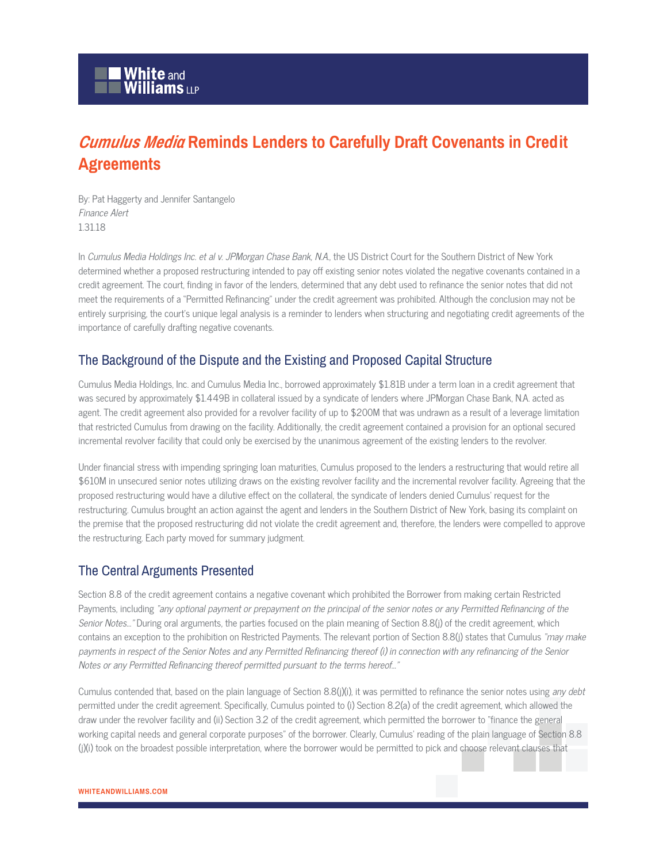# *Cumulus Media* **Reminds Lenders to Carefully Draft Covenants in Credit Agreements**

By: Pat Haggerty and Jennifer Santangelo Finance Alert 1.31.18

In Cumulus Media Holdings Inc. et al v. JPMorgan Chase Bank, N.A., the US District Court for the Southern District of New York determined whether a proposed restructuring intended to pay off existing senior notes violated the negative covenants contained in a credit agreement. The court, finding in favor of the lenders, determined that any debt used to refinance the senior notes that did not meet the requirements of a "Permitted Refinancing" under the credit agreement was prohibited. Although the conclusion may not be entirely surprising, the court's unique legal analysis is a reminder to lenders when structuring and negotiating credit agreements of the importance of carefully drafting negative covenants.

## The Background of the Dispute and the Existing and Proposed Capital Structure

Cumulus Media Holdings, Inc. and Cumulus Media Inc., borrowed approximately \$1.81B under a term loan in a credit agreement that was secured by approximately \$1.449B in collateral issued by a syndicate of lenders where JPMorgan Chase Bank, N.A. acted as agent. The credit agreement also provided for a revolver facility of up to \$200M that was undrawn as a result of a leverage limitation that restricted Cumulus from drawing on the facility. Additionally, the credit agreement contained a provision for an optional secured incremental revolver facility that could only be exercised by the unanimous agreement of the existing lenders to the revolver.

Under financial stress with impending springing loan maturities, Cumulus proposed to the lenders a restructuring that would retire all \$610M in unsecured senior notes utilizing draws on the existing revolver facility and the incremental revolver facility. Agreeing that the proposed restructuring would have a dilutive effect on the collateral, the syndicate of lenders denied Cumulus' request for the restructuring. Cumulus brought an action against the agent and lenders in the Southern District of New York, basing its complaint on the premise that the proposed restructuring did not violate the credit agreement and, therefore, the lenders were compelled to approve the restructuring. Each party moved for summary judgment.

## The Central Arguments Presented

Section 8.8 of the credit agreement contains a negative covenant which prohibited the Borrower from making certain Restricted Payments, including "any optional payment or prepayment on the principal of the senior notes or any Permitted Refinancing of the Senior Notes..." During oral arguments, the parties focused on the plain meaning of Section 8.8(j) of the credit agreement, which contains an exception to the prohibition on Restricted Payments. The relevant portion of Section 8.8(j) states that Cumulus "may make payments in respect of the Senior Notes and any Permitted Refinancing thereof (i) in connection with any refinancing of the Senior Notes or any Permitted Refinancing thereof permitted pursuant to the terms hereof…"

Cumulus contended that, based on the plain language of Section 8.8(j)(i), it was permitted to refinance the senior notes using any debt permitted under the credit agreement. Specifically, Cumulus pointed to (i) Section 8.2(a) of the credit agreement, which allowed the draw under the revolver facility and (ii) Section 3.2 of the credit agreement, which permitted the borrower to "finance the general working capital needs and general corporate purposes" of the borrower. Clearly, Cumulus' reading of the plain language of Section 8.8 (j)(i) took on the broadest possible interpretation, where the borrower would be permitted to pick and choose relevant clauses that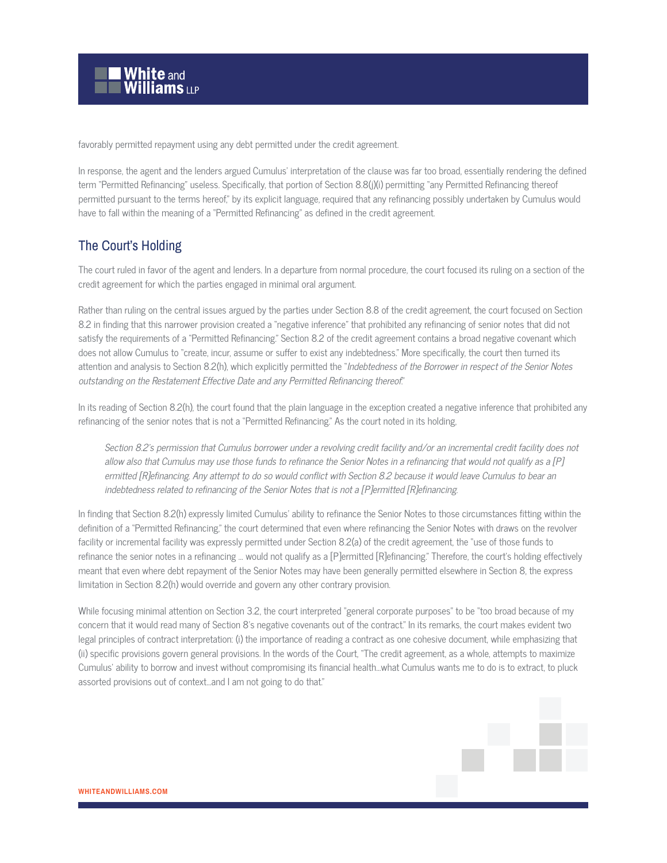

favorably permitted repayment using any debt permitted under the credit agreement.

In response, the agent and the lenders argued Cumulus' interpretation of the clause was far too broad, essentially rendering the defined term "Permitted Refinancing" useless. Specifically, that portion of Section 8.8(j)(i) permitting "any Permitted Refinancing thereof permitted pursuant to the terms hereof," by its explicit language, required that any refinancing possibly undertaken by Cumulus would have to fall within the meaning of a "Permitted Refinancing" as defined in the credit agreement.

#### The Court's Holding

The court ruled in favor of the agent and lenders. In a departure from normal procedure, the court focused its ruling on a section of the credit agreement for which the parties engaged in minimal oral argument.

Rather than ruling on the central issues argued by the parties under Section 8.8 of the credit agreement, the court focused on Section 8.2 in finding that this narrower provision created a "negative inference" that prohibited any refinancing of senior notes that did not satisfy the requirements of a "Permitted Refinancing." Section 8.2 of the credit agreement contains a broad negative covenant which does not allow Cumulus to "create, incur, assume or suffer to exist any indebtedness." More specifically, the court then turned its attention and analysis to Section 8.2(h), which explicitly permitted the "Indebtedness of the Borrower in respect of the Senior Notes outstanding on the Restatement Effective Date and any Permitted Refinancing thereof."

In its reading of Section 8.2(h), the court found that the plain language in the exception created a negative inference that prohibited any refinancing of the senior notes that is not a "Permitted Refinancing." As the court noted in its holding,

Section 8.2's permission that Cumulus borrower under a revolving credit facility and/or an incremental credit facility does not allow also that Cumulus may use those funds to refinance the Senior Notes in a refinancing that would not qualify as a [P] ermitted [R]efinancing. Any attempt to do so would conflict with Section 8.2 because it would leave Cumulus to bear an indebtedness related to refinancing of the Senior Notes that is not a [P]ermitted [R]efinancing.

In finding that Section 8.2(h) expressly limited Cumulus' ability to refinance the Senior Notes to those circumstances fitting within the definition of a "Permitted Refinancing," the court determined that even where refinancing the Senior Notes with draws on the revolver facility or incremental facility was expressly permitted under Section 8.2(a) of the credit agreement, the "use of those funds to refinance the senior notes in a refinancing … would not qualify as a [P]ermitted [R]efinancing." Therefore, the court's holding effectively meant that even where debt repayment of the Senior Notes may have been generally permitted elsewhere in Section 8, the express limitation in Section 8.2(h) would override and govern any other contrary provision.

While focusing minimal attention on Section 3.2, the court interpreted "general corporate purposes" to be "too broad because of my concern that it would read many of Section 8's negative covenants out of the contract." In its remarks, the court makes evident two legal principles of contract interpretation: (i) the importance of reading a contract as one cohesive document, while emphasizing that (ii) specific provisions govern general provisions. In the words of the Court, "The credit agreement, as a whole, attempts to maximize Cumulus' ability to borrow and invest without compromising its financial health…what Cumulus wants me to do is to extract, to pluck assorted provisions out of context...and I am not going to do that."